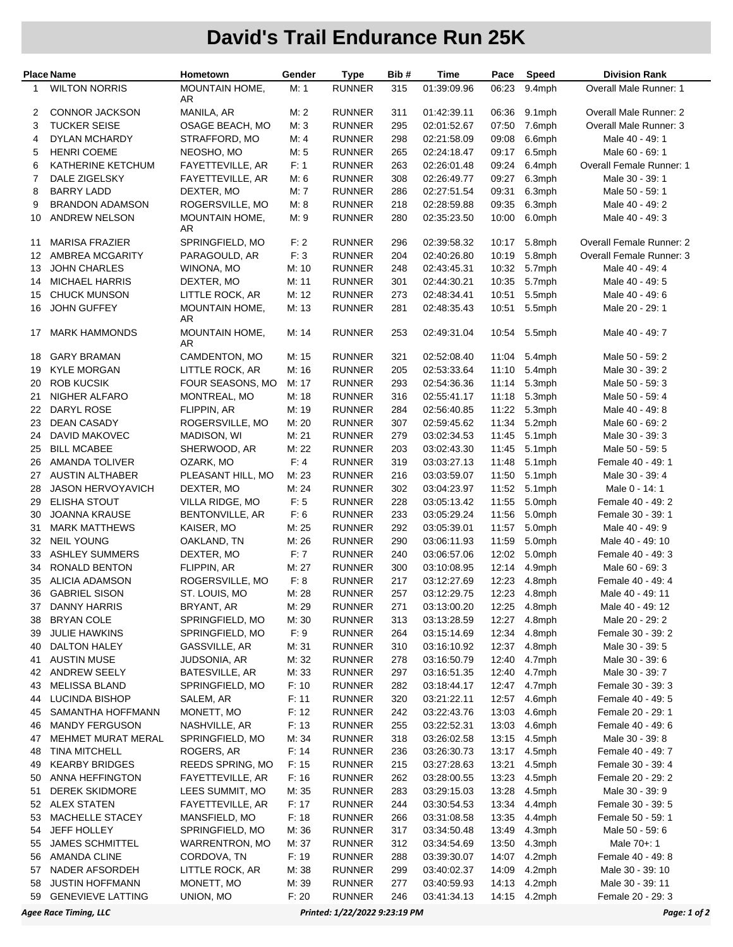## **David's Trail Endurance Run 25K**

| <b>Place Name</b> |                           | Hometown                | Gender | <b>Type</b>   | Bib# | Time        | Pace  | Speed        | <b>Division Rank</b>          |
|-------------------|---------------------------|-------------------------|--------|---------------|------|-------------|-------|--------------|-------------------------------|
| 1                 | <b>WILTON NORRIS</b>      | MOUNTAIN HOME,<br>AR    | M: 1   | <b>RUNNER</b> | 315  | 01:39:09.96 | 06:23 | 9.4mph       | Overall Male Runner: 1        |
| 2                 | <b>CONNOR JACKSON</b>     | MANILA, AR              | M: 2   | <b>RUNNER</b> | 311  | 01:42:39.11 | 06:36 | $9.1$ mph    | <b>Overall Male Runner: 2</b> |
| 3                 | <b>TUCKER SEISE</b>       | OSAGE BEACH, MO         | M: 3   | <b>RUNNER</b> | 295  | 02:01:52.67 | 07:50 | 7.6mph       | Overall Male Runner: 3        |
| 4                 | <b>DYLAN MCHARDY</b>      | STRAFFORD, MO           | M: 4   | <b>RUNNER</b> | 298  | 02:21:58.09 | 09:08 | 6.6mph       | Male 40 - 49: 1               |
| 5                 | <b>HENRI COEME</b>        | NEOSHO, MO              | M: 5   | <b>RUNNER</b> | 265  | 02:24:18.47 | 09:17 | 6.5mph       | Male 60 - 69: 1               |
| 6                 | KATHERINE KETCHUM         | FAYETTEVILLE, AR        | F: 1   | <b>RUNNER</b> | 263  | 02:26:01.48 | 09:24 | 6.4mph       | Overall Female Runner: 1      |
| $\overline{7}$    | DALE ZIGELSKY             | FAYETTEVILLE, AR        | M: 6   | <b>RUNNER</b> | 308  | 02:26:49.77 | 09:27 | 6.3mph       | Male 30 - 39: 1               |
| 8                 | <b>BARRY LADD</b>         | DEXTER, MO              | M: 7   | <b>RUNNER</b> | 286  | 02:27:51.54 | 09:31 | 6.3mph       | Male 50 - 59: 1               |
| 9                 | <b>BRANDON ADAMSON</b>    | ROGERSVILLE, MO         | M: 8   | <b>RUNNER</b> | 218  | 02:28:59.88 | 09:35 | 6.3mph       | Male 40 - 49: 2               |
| 10                | <b>ANDREW NELSON</b>      | MOUNTAIN HOME,<br>AR    | M:9    | <b>RUNNER</b> | 280  | 02:35:23.50 | 10:00 | 6.0mph       | Male 40 - 49: 3               |
| 11                | <b>MARISA FRAZIER</b>     | SPRINGFIELD, MO         | F: 2   | <b>RUNNER</b> | 296  | 02:39:58.32 | 10:17 | 5.8mph       | Overall Female Runner: 2      |
| 12                | AMBREA MCGARITY           | PARAGOULD, AR           | F: 3   | <b>RUNNER</b> | 204  | 02:40:26.80 | 10:19 | 5.8mph       | Overall Female Runner: 3      |
| 13                | <b>JOHN CHARLES</b>       | WINONA, MO              | M: 10  | <b>RUNNER</b> | 248  | 02:43:45.31 | 10:32 | 5.7mph       | Male 40 - 49: 4               |
| 14                | <b>MICHAEL HARRIS</b>     | DEXTER, MO              | M: 11  | <b>RUNNER</b> | 301  | 02:44:30.21 | 10:35 | 5.7mph       | Male 40 - 49: 5               |
| 15                | <b>CHUCK MUNSON</b>       | LITTLE ROCK, AR         | M: 12  | <b>RUNNER</b> | 273  | 02:48:34.41 | 10:51 | 5.5mph       | Male 40 - 49: 6               |
| 16                | <b>JOHN GUFFEY</b>        | MOUNTAIN HOME,<br>AR    | M: 13  | <b>RUNNER</b> | 281  | 02:48:35.43 | 10:51 | 5.5mph       | Male 20 - 29: 1               |
| 17                | <b>MARK HAMMONDS</b>      | MOUNTAIN HOME,<br>AR    | M: 14  | <b>RUNNER</b> | 253  | 02:49:31.04 | 10:54 | 5.5mph       | Male 40 - 49: 7               |
| 18                | <b>GARY BRAMAN</b>        | CAMDENTON, MO           | M: 15  | <b>RUNNER</b> | 321  | 02:52:08.40 | 11:04 | 5.4mph       | Male 50 - 59: 2               |
| 19                | <b>KYLE MORGAN</b>        | LITTLE ROCK, AR         | M: 16  | <b>RUNNER</b> | 205  | 02:53:33.64 | 11:10 | 5.4mph       | Male 30 - 39: 2               |
| 20                | <b>ROB KUCSIK</b>         | FOUR SEASONS, MO        | M: 17  | <b>RUNNER</b> | 293  | 02:54:36.36 | 11:14 | 5.3mph       | Male 50 - 59: 3               |
| 21                | NIGHER ALFARO             | MONTREAL, MO            | M: 18  | <b>RUNNER</b> | 316  | 02:55:41.17 | 11:18 | 5.3mph       | Male 50 - 59: 4               |
| 22                | DARYL ROSE                | FLIPPIN, AR             | M: 19  | <b>RUNNER</b> | 284  | 02:56:40.85 | 11:22 | 5.3mph       | Male 40 - 49: 8               |
| 23                | <b>DEAN CASADY</b>        | ROGERSVILLE, MO         | M: 20  | <b>RUNNER</b> | 307  | 02:59:45.62 | 11:34 | 5.2mph       | Male 60 - 69: 2               |
| 24                | <b>DAVID MAKOVEC</b>      | MADISON, WI             | M: 21  | <b>RUNNER</b> | 279  | 03:02:34.53 | 11:45 | 5.1mph       | Male 30 - 39: 3               |
| 25                | <b>BILL MCABEE</b>        | SHERWOOD, AR            | M: 22  | <b>RUNNER</b> | 203  | 03:02:43.30 | 11:45 | 5.1mph       | Male 50 - 59: 5               |
| 26                | <b>AMANDA TOLIVER</b>     | OZARK, MO               | F: 4   | <b>RUNNER</b> | 319  | 03:03:27.13 | 11:48 | 5.1mph       | Female 40 - 49: 1             |
| 27                | <b>AUSTIN ALTHABER</b>    | PLEASANT HILL, MO       | M: 23  | <b>RUNNER</b> | 216  | 03:03:59.07 | 11:50 | 5.1mph       | Male 30 - 39: 4               |
| 28                | <b>JASON HERVOYAVICH</b>  | DEXTER, MO              | M: 24  | <b>RUNNER</b> | 302  | 03:04:23.97 | 11:52 | 5.1mph       | Male 0 - 14: 1                |
| 29                | <b>ELISHA STOUT</b>       | VILLA RIDGE, MO         | F: 5   | <b>RUNNER</b> | 228  | 03:05:13.42 | 11:55 | 5.0mph       | Female 40 - 49: 2             |
| 30                | <b>JOANNA KRAUSE</b>      | BENTONVILLE, AR         | F: 6   | <b>RUNNER</b> | 233  | 03:05:29.24 | 11:56 | 5.0mph       | Female 30 - 39: 1             |
| 31                | <b>MARK MATTHEWS</b>      | KAISER, MO              | M: 25  | <b>RUNNER</b> | 292  | 03:05:39.01 | 11:57 | 5.0mph       | Male 40 - 49: 9               |
| 32                | <b>NEIL YOUNG</b>         | OAKLAND, TN             | M: 26  | <b>RUNNER</b> | 290  | 03:06:11.93 | 11:59 | 5.0mph       | Male 40 - 49: 10              |
| 33                | <b>ASHLEY SUMMERS</b>     | DEXTER, MO              | F:7    | <b>RUNNER</b> | 240  | 03:06:57.06 | 12:02 | 5.0mph       | Female 40 - 49: 3             |
| 34                | RONALD BENTON             | FLIPPIN, AR             | M: 27  | <b>RUNNER</b> | 300  | 03:10:08.95 | 12:14 | 4.9mph       | Male 60 - 69: 3               |
| 35                | <b>ALICIA ADAMSON</b>     | ROGERSVILLE, MO         | F: 8   | <b>RUNNER</b> | 217  | 03:12:27.69 | 12:23 | 4.8mph       | Female 40 - 49: 4             |
| 36                | <b>GABRIEL SISON</b>      | ST. LOUIS, MO           | M: 28  | <b>RUNNER</b> | 257  | 03:12:29.75 | 12:23 | 4.8mph       | Male 40 - 49: 11              |
| 37                | <b>DANNY HARRIS</b>       | BRYANT, AR              | M: 29  | <b>RUNNER</b> | 271  | 03:13:00.20 | 12:25 | 4.8mph       | Male 40 - 49: 12              |
| 38                | <b>BRYAN COLE</b>         | SPRINGFIELD, MO         | M: 30  | <b>RUNNER</b> | 313  | 03:13:28.59 | 12:27 | 4.8mph       | Male 20 - 29: 2               |
| 39                | <b>JULIE HAWKINS</b>      | SPRINGFIELD, MO         | F: 9   | <b>RUNNER</b> | 264  | 03:15:14.69 | 12:34 | 4.8mph       | Female 30 - 39: 2             |
| 40                | <b>DALTON HALEY</b>       | GASSVILLE, AR           | M: 31  | <b>RUNNER</b> | 310  | 03:16:10.92 | 12:37 | 4.8mph       | Male 30 - 39: 5               |
| 41                | <b>AUSTIN MUSE</b>        | JUDSONIA, AR            | M: 32  | <b>RUNNER</b> | 278  | 03:16:50.79 | 12:40 | 4.7mph       | Male 30 - 39: 6               |
| 42                | ANDREW SEELY              | <b>BATESVILLE, AR</b>   | M: 33  | <b>RUNNER</b> | 297  | 03:16:51.35 | 12:40 | 4.7mph       | Male 30 - 39: 7               |
| 43                | MELISSA BLAND             | SPRINGFIELD, MO         | F: 10  | <b>RUNNER</b> | 282  | 03:18:44.17 | 12:47 | 4.7mph       | Female 30 - 39: 3             |
| 44                | <b>LUCINDA BISHOP</b>     | SALEM, AR               | F: 11  | <b>RUNNER</b> | 320  | 03:21:22.11 | 12:57 | 4.6mph       | Female 40 - 49: 5             |
| 45                | SAMANTHA HOFFMANN         | MONETT, MO              | F: 12  | <b>RUNNER</b> | 242  | 03:22:43.76 | 13:03 | 4.6mph       | Female 20 - 29: 1             |
| 46                | <b>MANDY FERGUSON</b>     | NASHVILLE, AR           | F: 13  | <b>RUNNER</b> | 255  | 03:22:52.31 | 13:03 | 4.6mph       | Female 40 - 49: 6             |
| 47                | <b>MEHMET MURAT MERAL</b> | SPRINGFIELD, MO         | M: 34  | <b>RUNNER</b> | 318  | 03:26:02.58 | 13:15 | 4.5mph       | Male 30 - 39: 8               |
| 48                | <b>TINA MITCHELL</b>      | ROGERS, AR              | F: 14  | <b>RUNNER</b> | 236  | 03:26:30.73 | 13:17 | 4.5mph       | Female 40 - 49: 7             |
| 49                | <b>KEARBY BRIDGES</b>     | <b>REEDS SPRING, MO</b> | F: 15  | <b>RUNNER</b> | 215  | 03:27:28.63 | 13:21 | 4.5mph       | Female 30 - 39: 4             |
| 50                | ANNA HEFFINGTON           | FAYETTEVILLE, AR        | F: 16  | <b>RUNNER</b> | 262  | 03:28:00.55 | 13:23 | 4.5mph       | Female 20 - 29: 2             |
| 51                | <b>DEREK SKIDMORE</b>     | LEES SUMMIT, MO         | M: 35  | <b>RUNNER</b> | 283  | 03:29:15.03 | 13:28 | 4.5mph       | Male 30 - 39: 9               |
| 52                | <b>ALEX STATEN</b>        | FAYETTEVILLE, AR        | F: 17  | <b>RUNNER</b> | 244  | 03:30:54.53 | 13:34 | 4.4mph       | Female 30 - 39: 5             |
| 53                | MACHELLE STACEY           | MANSFIELD, MO           | F: 18  | <b>RUNNER</b> | 266  | 03:31:08.58 | 13:35 | 4.4mph       | Female 50 - 59: 1             |
| 54                | JEFF HOLLEY               | SPRINGFIELD, MO         | M: 36  | <b>RUNNER</b> | 317  | 03:34:50.48 | 13:49 | 4.3mph       | Male 50 - 59: 6               |
| 55                | <b>JAMES SCHMITTEL</b>    | <b>WARRENTRON, MO</b>   | M: 37  | <b>RUNNER</b> | 312  | 03:34:54.69 | 13:50 | 4.3mph       | Male 70+: 1                   |
| 56                | AMANDA CLINE              | CORDOVA, TN             | F: 19  | <b>RUNNER</b> | 288  | 03:39:30.07 | 14:07 | 4.2mph       | Female 40 - 49: 8             |
| 57                | NADER AFSORDEH            | LITTLE ROCK, AR         | M: 38  | <b>RUNNER</b> | 299  | 03:40:02.37 | 14:09 | 4.2mph       | Male 30 - 39: 10              |
| 58                | <b>JUSTIN HOFFMANN</b>    | MONETT, MO              | M: 39  | <b>RUNNER</b> | 277  | 03:40:59.93 | 14:13 | 4.2mph       | Male 30 - 39: 11              |
| 59                | <b>GENEVIEVE LATTING</b>  | UNION, MO               | F: 20  | <b>RUNNER</b> | 246  | 03:41:34.13 |       | 14:15 4.2mph | Female 20 - 29: 3             |